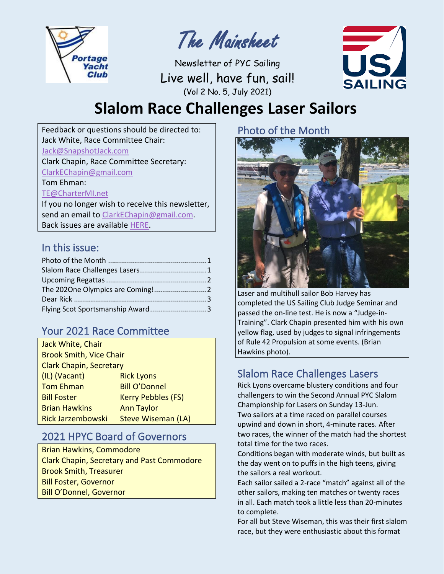

The Mainsheet

Newsletter of PYC Sailing Live well, have fun, sail! (Vol 2 No. 5, July 2021)



# **Slalom Race Challenges Laser Sailors**

Feedback or questions should be directed to: Jack White, Race Committee Chair: [Jack@SnapshotJack.com](mailto:Jack@SnapshotJack.com) Clark Chapin, Race Committee Secretary: [ClarkEChapin@gmail.com](mailto:ClarkEChapin@gmail.com)

Tom Ehman:

[TE@CharterMI.net](mailto:TE@CharterMI.net)

If you no longer wish to receive this newsletter, send an email to [ClarkEChapin@gmail.com.](mailto:ClarkEChapin@gmail.com) Back issues are available [HERE.](http://ms-pyc.com/portage-yacht-club/sailing/racing/racers-events/)

#### In this issue:

#### Your 2021 Race Committee

| Jack White, Chair              |                           |  |  |
|--------------------------------|---------------------------|--|--|
| <b>Brook Smith, Vice Chair</b> |                           |  |  |
| <b>Clark Chapin, Secretary</b> |                           |  |  |
| (IL) (Vacant)                  | <b>Rick Lyons</b>         |  |  |
| <b>Tom Ehman</b>               | <b>Bill O'Donnel</b>      |  |  |
| <b>Bill Foster</b>             | <b>Kerry Pebbles (FS)</b> |  |  |
| <b>Brian Hawkins</b>           | <b>Ann Taylor</b>         |  |  |
| <b>Rick Jarzembowski</b>       | Steve Wiseman (LA)        |  |  |

#### 2021 HPYC Board of Governors

Brian Hawkins, Commodore Clark Chapin, Secretary and Past Commodore Brook Smith, Treasurer Bill Foster, Governor Bill O'Donnel, Governor

## <span id="page-0-0"></span>Photo of the Month



Laser and multihull sailor Bob Harvey has completed the US Sailing Club Judge Seminar and passed the on-line test. He is now a "Judge-in-Training". Clark Chapin presented him with his own yellow flag, used by judges to signal infringements of Rule 42 Propulsion at some events. (Brian Hawkins photo).

## <span id="page-0-1"></span>Slalom Race Challenges Lasers

Rick Lyons overcame blustery conditions and four challengers to win the Second Annual PYC Slalom Championship for Lasers on Sunday 13-Jun. Two sailors at a time raced on parallel courses upwind and down in short, 4-minute races. After two races, the winner of the match had the shortest total time for the two races.

Conditions began with moderate winds, but built as the day went on to puffs in the high teens, giving the sailors a real workout.

Each sailor sailed a 2-race "match" against all of the other sailors, making ten matches or twenty races in all. Each match took a little less than 20-minutes to complete.

For all but Steve Wiseman, this was their first slalom race, but they were enthusiastic about this format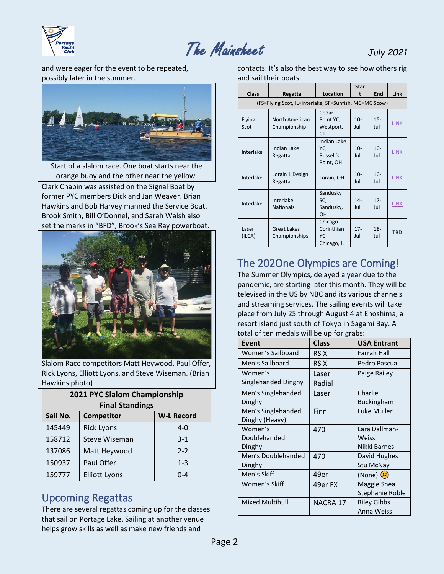



and were eager for the event to be repeated, possibly later in the summer.



Start of a slalom race. One boat starts near the orange buoy and the other near the yellow.

Clark Chapin was assisted on the Signal Boat by former PYC members Dick and Jan Weaver. Brian Hawkins and Bob Harvey manned the Service Boat. Brook Smith, Bill O'Donnel, and Sarah Walsh also set the marks in "BFD", Brook's Sea Ray powerboat.



Slalom Race competitors Matt Heywood, Paul Offer, Rick Lyons, Elliott Lyons, and Steve Wiseman. (Brian Hawkins photo)

| 2021 PYC Slalom Championship |                      |                   |  |
|------------------------------|----------------------|-------------------|--|
| <b>Final Standings</b>       |                      |                   |  |
| Sail No.                     | Competitor           | <b>W-L Record</b> |  |
| 145449                       | <b>Rick Lyons</b>    | $4 - 0$           |  |
| 158712                       | <b>Steve Wiseman</b> | $3-1$             |  |
| 137086                       | Matt Heywood         | $2 - 2$           |  |
| 150937                       | Paul Offer           | $1 - 3$           |  |
| 159777                       | <b>Elliott Lyons</b> | $0 - 4$           |  |

#### <span id="page-1-0"></span>Upcoming Regattas

There are several regattas coming up for the classes that sail on Portage Lake. Sailing at another venue helps grow skills as well as make new friends and

| contacts. It's also the best way to see how others rig |
|--------------------------------------------------------|
| and sail their boats.                                  |

|                 |                                                        |                                                     | <b>Star</b>   |               |             |
|-----------------|--------------------------------------------------------|-----------------------------------------------------|---------------|---------------|-------------|
| <b>Class</b>    | Regatta                                                | Location                                            | t             | End           | <b>Link</b> |
|                 | (FS=Flying Scot, IL=Interlake, SF=Sunfish, MC=MC Scow) |                                                     |               |               |             |
| Flying<br>Scot  | North American<br>Championship                         | Cedar<br>Point YC,<br>Westport,<br>CT               | $10 -$<br>Jul | $15 -$<br>Jul | <b>LINK</b> |
| Interlake       | Indian Lake<br>Regatta                                 | <b>Indian Lake</b><br>YC,<br>Russell's<br>Point, OH | $10-$<br>Jul  | $10 -$<br>Jul | <b>LINK</b> |
| Interlake       | Lorain 1 Design<br>Regatta                             | Lorain, OH                                          | $10 -$<br>Jul | $10 -$<br>Jul | <b>LINK</b> |
| Interlake       | Interlake<br><b>Nationals</b>                          | Sandusky<br>SC,<br>Sandusky,<br>OH                  | $14 -$<br>Jul | $17 -$<br>Jul | <b>LINK</b> |
| Laser<br>(ILCA) | <b>Great Lakes</b><br>Championships                    | Chicago<br>Corinthian<br>YC,<br>Chicago, IL         | $17 -$<br>Jul | $18 -$<br>Jul | <b>TBD</b>  |

#### <span id="page-1-1"></span>The 202One Olympics are Coming!

The Summer Olympics, delayed a year due to the pandemic, are starting later this month. They will be televised in the US by NBC and its various channels and streaming services. The sailing events will take place from July 25 through August 4 at Enoshima, a resort island just south of Tokyo in Sagami Bay. A total of ten medals will be up for grabs:

| Event                  | <b>Class</b> | <b>USA Entrant</b>       |
|------------------------|--------------|--------------------------|
| Women's Sailboard      | RS X         | <b>Farrah Hall</b>       |
| Men's Sailboard        | RS X         | Pedro Pascual            |
| Women's                | Laser        | Paige Railey             |
| Singlehanded Dinghy    | Radial       |                          |
| Men's Singlehanded     | Laser        | Charlie                  |
| Dinghy                 |              | <b>Buckingham</b>        |
| Men's Singlehanded     | Finn         | Luke Muller              |
| Dinghy (Heavy)         |              |                          |
| Women's                | 470          | Lara Dallman-            |
| Doublehanded           |              | Weiss                    |
| Dinghy                 |              | Nikki Barnes             |
| Men's Doublehanded     | 470          | David Hughes             |
| Dinghy                 |              | Stu McNay                |
| Men's Skiff            | 49er         | (None) ( <mark> )</mark> |
| Women's Skiff          | 49er FX      | Maggie Shea              |
|                        |              | Stephanie Roble          |
| <b>Mixed Multihull</b> | NACRA 17     | <b>Riley Gibbs</b>       |
|                        |              | Anna Weiss               |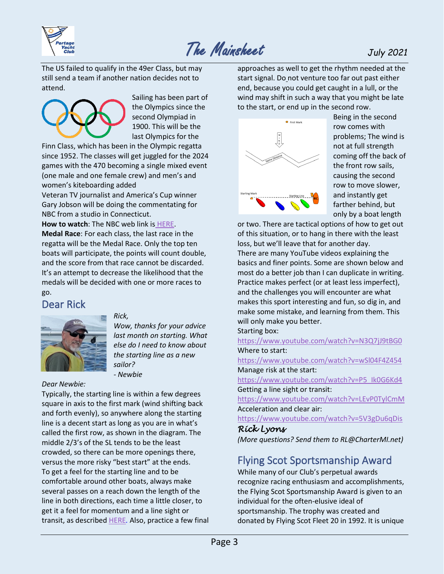

## The Mainsheet *July <sup>2021</sup>*

The US failed to qualify in the 49er Class, but may still send a team if another nation decides not to attend.



Sailing has been part of the Olympics since the second Olympiad in 1900. This will be the last Olympics for the

Finn Class, which has been in the Olympic regatta since 1952. The classes will get juggled for the 2024 games with the 470 becoming a single mixed event (one male and one female crew) and men's and women's kiteboarding added

Veteran TV journalist and America's Cup winner Gary Jobson will be doing the commentating for NBC from a studio in Connecticut.

**How to watch**: The NBC web link is [HERE.](https://www.nbcolympics.com/schedule)

**Medal Race**: For each class, the last race in the regatta will be the Medal Race. Only the top ten boats will participate, the points will count double, and the score from that race cannot be discarded. It's an attempt to decrease the likelihood that the medals will be decided with one or more races to go.

#### <span id="page-2-0"></span>Dear Rick



#### *Rick,*

*Wow, thanks for your advice last month on starting. What else do I need to know about the starting line as a new sailor? - Newbie*

*Dear Newbie:*

Typically, the starting line is within a few degrees square in axis to the first mark (wind shifting back and forth evenly), so anywhere along the starting line is a decent start as long as you are in what's called the first row, as shown in the diagram. The middle 2/3's of the SL tends to be the least crowded, so there can be more openings there, versus the more risky "best start" at the ends. To get a feel for the starting line and to be comfortable around other boats, always make several passes on a reach down the length of the line in both directions, each time a little closer, to get it a feel for momentum and a line sight or transit, as described [HERE](https://www.youtube.com/watch?v=LEvP0TylCmM&t=149s)*.* Also, practice a few final approaches as well to get the rhythm needed at the start signal. Do not venture too far out past either end, because you could get caught in a lull, or the wind may shift in such a way that you might be late to the start, or end up in the second row.



Being in the second row comes with problems; The wind is not at full strength coming off the back of the front row sails, causing the second row to move slower, and instantly get farther behind, but only by a boat length

or two. There are tactical options of how to get out of this situation, or to hang in there with the least loss, but we'll leave that for another day. There are many YouTube videos explaining the basics and finer points. Some are shown below and most do a better job than I can duplicate in writing. Practice makes perfect (or at least less imperfect), and the challenges you will encounter are what makes this sport interesting and fun, so dig in, and make some mistake, and learning from them. This will only make you better.

Starting box:

<https://www.youtube.com/watch?v=N3Q7jJ9tBG0> Where to start:

<https://www.youtube.com/watch?v=wSl04F4Z454> Manage risk at the start:

[https://www.youtube.com/watch?v=P5\\_Ik0G6Kd4](https://www.youtube.com/watch?v=P5_Ik0G6Kd4) Getting a line sight or transit:

<https://www.youtube.com/watch?v=LEvP0TylCmM> Acceleration and clear air:

<https://www.youtube.com/watch?v=5V3gDu6qDis> *Rick Lyons* 

<span id="page-2-1"></span>*(More questions? Send them to RL@CharterMI.net)*

#### Flying Scot Sportsmanship Award

While many of our Club's perpetual awards recognize racing enthusiasm and accomplishments, the Flying Scot Sportsmanship Award is given to an individual for the often-elusive ideal of sportsmanship. The trophy was created and donated by Flying Scot Fleet 20 in 1992. It is unique